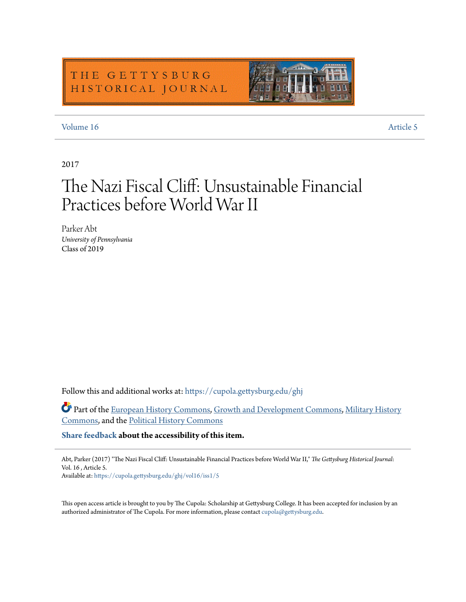### THE GETTYSBURG HISTORICAL JOURNAL

### [Volume 16](https://cupola.gettysburg.edu/ghj/vol16?utm_source=cupola.gettysburg.edu%2Fghj%2Fvol16%2Fiss1%2F5&utm_medium=PDF&utm_campaign=PDFCoverPages) [Article 5](https://cupola.gettysburg.edu/ghj/vol16/iss1/5?utm_source=cupola.gettysburg.edu%2Fghj%2Fvol16%2Fiss1%2F5&utm_medium=PDF&utm_campaign=PDFCoverPages)

### 2017

# The Nazi Fiscal Cliff: Unsustainable Financial Practices before World War II

Parker Abt *University of Pennsylvania* Class of 2019

Follow this and additional works at: [https://cupola.gettysburg.edu/ghj](https://cupola.gettysburg.edu/ghj?utm_source=cupola.gettysburg.edu%2Fghj%2Fvol16%2Fiss1%2F5&utm_medium=PDF&utm_campaign=PDFCoverPages)

Part of the [European History Commons](http://network.bepress.com/hgg/discipline/492?utm_source=cupola.gettysburg.edu%2Fghj%2Fvol16%2Fiss1%2F5&utm_medium=PDF&utm_campaign=PDFCoverPages), [Growth and Development Commons](http://network.bepress.com/hgg/discipline/346?utm_source=cupola.gettysburg.edu%2Fghj%2Fvol16%2Fiss1%2F5&utm_medium=PDF&utm_campaign=PDFCoverPages), [Military History](http://network.bepress.com/hgg/discipline/504?utm_source=cupola.gettysburg.edu%2Fghj%2Fvol16%2Fiss1%2F5&utm_medium=PDF&utm_campaign=PDFCoverPages) [Commons,](http://network.bepress.com/hgg/discipline/504?utm_source=cupola.gettysburg.edu%2Fghj%2Fvol16%2Fiss1%2F5&utm_medium=PDF&utm_campaign=PDFCoverPages) and the [Political History Commons](http://network.bepress.com/hgg/discipline/505?utm_source=cupola.gettysburg.edu%2Fghj%2Fvol16%2Fiss1%2F5&utm_medium=PDF&utm_campaign=PDFCoverPages)

**[Share feedback](https://docs.google.com/a/bepress.com/forms/d/1h9eEcpBPj5POs5oO6Y5A0blXRmZqykoonyYiZUNyEq8/viewform) about the accessibility of this item.**

Abt, Parker (2017) "The Nazi Fiscal Cliff: Unsustainable Financial Practices before World War II," *The Gettysburg Historical Journal*: Vol. 16 , Article 5.

Available at: [https://cupola.gettysburg.edu/ghj/vol16/iss1/5](https://cupola.gettysburg.edu/ghj/vol16/iss1/5?utm_source=cupola.gettysburg.edu%2Fghj%2Fvol16%2Fiss1%2F5&utm_medium=PDF&utm_campaign=PDFCoverPages)

This open access article is brought to you by The Cupola: Scholarship at Gettysburg College. It has been accepted for inclusion by an authorized administrator of The Cupola. For more information, please contact [cupola@gettysburg.edu.](mailto:cupola@gettysburg.edu)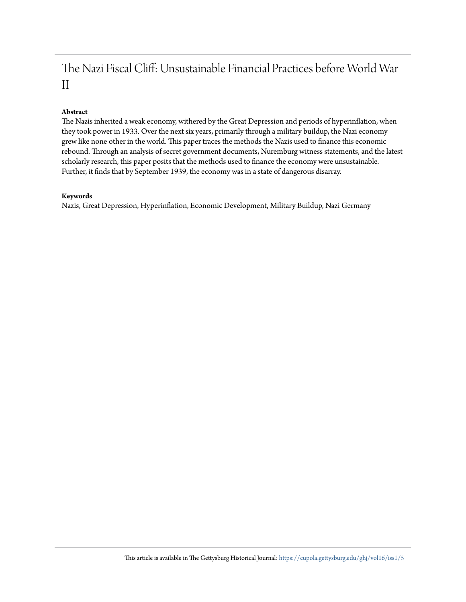### The Nazi Fiscal Cliff: Unsustainable Financial Practices before World War II

#### **Abstract**

The Nazis inherited a weak economy, withered by the Great Depression and periods of hyperinflation, when they took power in 1933. Over the next six years, primarily through a military buildup, the Nazi economy grew like none other in the world. This paper traces the methods the Nazis used to finance this economic rebound. Through an analysis of secret government documents, Nuremburg witness statements, and the latest scholarly research, this paper posits that the methods used to finance the economy were unsustainable. Further, it finds that by September 1939, the economy was in a state of dangerous disarray.

#### **Keywords**

Nazis, Great Depression, Hyperinflation, Economic Development, Military Buildup, Nazi Germany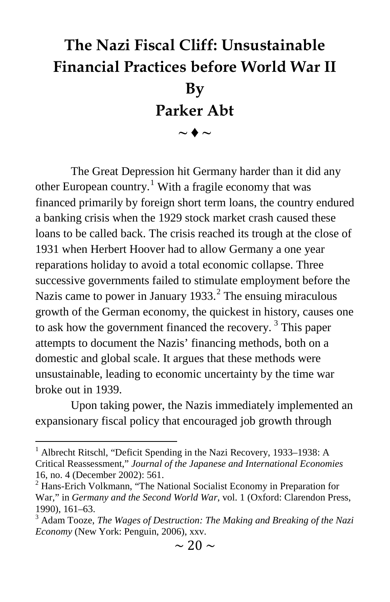## **The Nazi Fiscal Cliff: Unsustainable Financial Practices before World War II By Parker Abt**  $\sim \blacklozenge \sim$

The Great Depression hit Germany harder than it did any other European country.<sup>[1](#page-2-0)</sup> With a fragile economy that was financed primarily by foreign short term loans, the country endured a banking crisis when the 1929 stock market crash caused these loans to be called back. The crisis reached its trough at the close of 1931 when Herbert Hoover had to allow Germany a one year reparations holiday to avoid a total economic collapse. Three successive governments failed to stimulate employment before the Nazis came to power in January 1933. $<sup>2</sup>$  $<sup>2</sup>$  $<sup>2</sup>$  The ensuing miraculous</sup> growth of the German economy, the quickest in history, causes one to ask how the government financed the recovery.<sup>[3](#page-2-2)</sup> This paper attempts to document the Nazis' financing methods, both on a domestic and global scale. It argues that these methods were unsustainable, leading to economic uncertainty by the time war broke out in 1939.

Upon taking power, the Nazis immediately implemented an expansionary fiscal policy that encouraged job growth through

<span id="page-2-0"></span><sup>&</sup>lt;sup>1</sup> Albrecht Ritschl, "Deficit Spending in the Nazi Recovery, 1933–1938: A Critical Reassessment," *Journal of the Japanese and International Economies* 16, no. 4 (December 2002): 561.

<span id="page-2-1"></span> $2$  Hans-Erich Volkmann, "The National Socialist Economy in Preparation for War," in *Germany and the Second World War*, vol. 1 (Oxford: Clarendon Press, 1990), 161–63.<br><sup>3</sup> Adam Tooze, *The Wages of Destruction: The Making and Breaking of the Nazi* 

<span id="page-2-2"></span>*Economy* (New York: Penguin, 2006), xxv.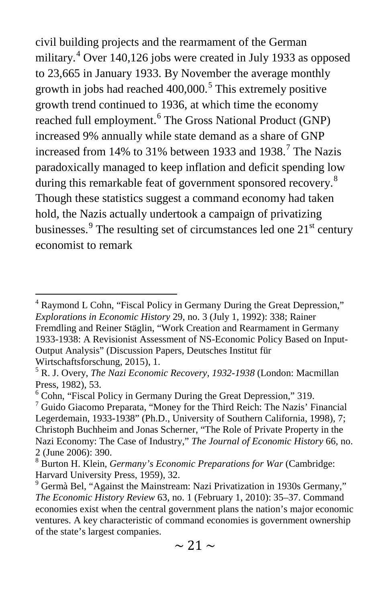civil building projects and the rearmament of the German military.<sup>[4](#page-3-0)</sup> Over 140,126 jobs were created in July 1933 as opposed to 23,665 in January 1933. By November the average monthly growth in jobs had reached  $400,000$ .<sup>[5](#page-3-1)</sup> This extremely positive growth trend continued to 1936, at which time the economy reached full employment.<sup>[6](#page-3-2)</sup> The Gross National Product (GNP) increased 9% annually while state demand as a share of GNP increased from 14% to 31% between 1933 and 1938.<sup>[7](#page-3-3)</sup> The Nazis paradoxically managed to keep inflation and deficit spending low during this remarkable feat of government sponsored recovery.<sup>[8](#page-3-4)</sup> Though these statistics suggest a command economy had taken hold, the Nazis actually undertook a campaign of privatizing businesses. $9$  The resulting set of circumstances led one  $21<sup>st</sup>$  century economist to remark

<span id="page-3-0"></span><sup>&</sup>lt;sup>4</sup> Raymond L Cohn, "Fiscal Policy in Germany During the Great Depression," *Explorations in Economic History* 29, no. 3 (July 1, 1992): 338; Rainer Fremdling and Reiner Stäglin, "Work Creation and Rearmament in Germany 1933-1938: A Revisionist Assessment of NS-Economic Policy Based on Input-Output Analysis" (Discussion Papers, Deutsches Institut für Wirtschaftsforschung, 2015), 1.

<span id="page-3-1"></span><sup>5</sup> R. J. Overy, *The Nazi Economic Recovery, 1932-1938* (London: Macmillan Press, 1982), 53.

<span id="page-3-2"></span><sup>6</sup> Cohn, "Fiscal Policy in Germany During the Great Depression," 319.

<span id="page-3-3"></span> $\sigma$ <sup>7</sup> Guido Giacomo Preparata, "Money for the Third Reich: The Nazis' Financial Legerdemain, 1933-1938" (Ph.D., University of Southern California, 1998), 7; Christoph Buchheim and Jonas Scherner, "The Role of Private Property in the Nazi Economy: The Case of Industry," *The Journal of Economic History* 66, no. 2 (June 2006): 390.

<span id="page-3-4"></span><sup>8</sup> Burton H. Klein, *Germany's Economic Preparations for War* (Cambridge: Harvard University Press, 1959), 32.

<span id="page-3-5"></span><sup>&</sup>lt;sup>9</sup> Germà Bel, "Against the Mainstream: Nazi Privatization in 1930s Germany," *The Economic History Review* 63, no. 1 (February 1, 2010): 35–37. Command economies exist when the central government plans the nation's major economic ventures. A key characteristic of command economies is government ownership of the state's largest companies.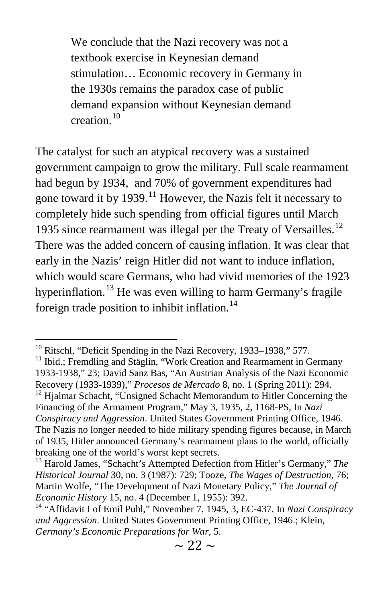We conclude that the Nazi recovery was not a textbook exercise in Keynesian demand stimulation… Economic recovery in Germany in the 1930s remains the paradox case of public demand expansion without Keynesian demand creation.[10](#page-4-0)

The catalyst for such an atypical recovery was a sustained government campaign to grow the military. Full scale rearmament had begun by 1934, and 70% of government expenditures had gone toward it by 1939.<sup>[11](#page-4-1)</sup> However, the Nazis felt it necessary to completely hide such spending from official figures until March 1935 since rearmament was illegal per the Treaty of Versailles.<sup>[12](#page-4-2)</sup> There was the added concern of causing inflation. It was clear that early in the Nazis' reign Hitler did not want to induce inflation, which would scare Germans, who had vivid memories of the 1923 hyperinflation.<sup>[13](#page-4-3)</sup> He was even willing to harm Germany's fragile foreign trade position to inhibit inflation.<sup>[14](#page-4-4)</sup>

<span id="page-4-0"></span><sup>&</sup>lt;sup>10</sup> Ritschl, "Deficit Spending in the Nazi Recovery, 1933–1938," 577.<br><sup>11</sup> Ibid.; Fremdling and Stäglin, "Work Creation and Rearmament in Germany

<span id="page-4-1"></span><sup>1933-1938,&</sup>quot; 23; David Sanz Bas, "An Austrian Analysis of the Nazi Economic Recovery (1933-1939)," *Procesos de Mercado* 8, no. 1 (Spring 2011): 294.<br><sup>12</sup> Hjalmar Schacht, "Unsigned Schacht Memorandum to Hitler Concerning the

<span id="page-4-2"></span>Financing of the Armament Program," May 3, 1935, 2, 1168-PS, In *Nazi Conspiracy and Aggression*. United States Government Printing Office, 1946. The Nazis no longer needed to hide military spending figures because, in March of 1935, Hitler announced Germany's rearmament plans to the world, officially breaking one of the world's worst kept secrets.

<span id="page-4-3"></span><sup>&</sup>lt;sup>13</sup> Harold James, "Schacht's Attempted Defection from Hitler's Germany," The *Historical Journal* 30, no. 3 (1987): 729; Tooze, *The Wages of Destruction*, 76; Martin Wolfe, "The Development of Nazi Monetary Policy," *The Journal of* 

<span id="page-4-4"></span>*Economic History* 15, no. 4 (December 1, 1955): 392.<br><sup>14</sup> "Affidavit I of Emil Puhl," November 7, 1945, 3, EC-437, In *Nazi Conspiracy and Aggression*. United States Government Printing Office, 1946.; Klein, *Germany's Economic Preparations for War*, 5.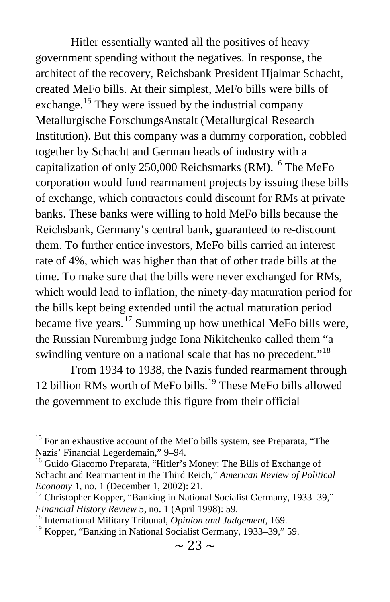Hitler essentially wanted all the positives of heavy government spending without the negatives. In response, the architect of the recovery, Reichsbank President Hjalmar Schacht, created MeFo bills. At their simplest, MeFo bills were bills of exchange.<sup>[15](#page-5-0)</sup> They were issued by the industrial company Metallurgische ForschungsAnstalt (Metallurgical Research Institution). But this company was a dummy corporation, cobbled together by Schacht and German heads of industry with a capitalization of only 250,000 Reichsmarks  $(RM)$ .<sup>[16](#page-5-1)</sup> The MeFo corporation would fund rearmament projects by issuing these bills of exchange, which contractors could discount for RMs at private banks. These banks were willing to hold MeFo bills because the Reichsbank, Germany's central bank, guaranteed to re-discount them. To further entice investors, MeFo bills carried an interest rate of 4%, which was higher than that of other trade bills at the time. To make sure that the bills were never exchanged for RMs, which would lead to inflation, the ninety-day maturation period for the bills kept being extended until the actual maturation period became five years. $^{17}$  $^{17}$  $^{17}$  Summing up how unethical MeFo bills were, the Russian Nuremburg judge Iona Nikitchenko called them "a swindling venture on a national scale that has no precedent."<sup>[18](#page-5-3)</sup>

From 1934 to 1938, the Nazis funded rearmament through 12 billion RMs worth of MeFo bills.<sup>[19](#page-5-4)</sup> These MeFo bills allowed the government to exclude this figure from their official

<span id="page-5-0"></span><sup>&</sup>lt;sup>15</sup> For an exhaustive account of the MeFo bills system, see Preparata, "The Nazis' Financial Legerdemain,"  $9-94$ .

<span id="page-5-1"></span><sup>&</sup>lt;sup>16</sup> Guido Giacomo Preparata, "Hitler's Money: The Bills of Exchange of Schacht and Rearmament in the Third Reich," *American Review of Political Economy* 1, no. 1 (December 1, 2002): 21.<br><sup>17</sup> Christopher Kopper, "Banking in National Socialist Germany, 1933–39,"

<span id="page-5-2"></span>*Financial History Review* 5, no. 1 (April 1998): 59. <sup>18</sup> International Military Tribunal, *Opinion and Judgement*, 169.

<span id="page-5-3"></span>

<span id="page-5-4"></span><sup>&</sup>lt;sup>19</sup> Kopper, "Banking in National Socialist Germany, 1933–39," 59.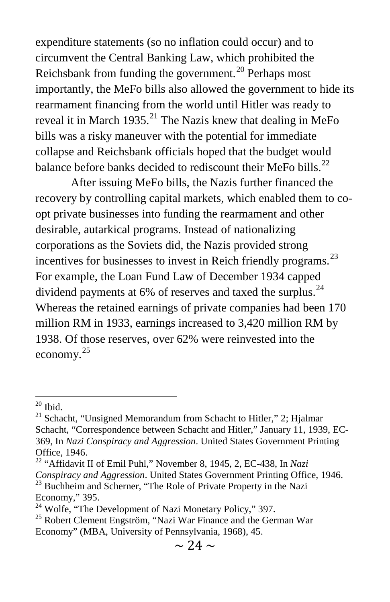expenditure statements (so no inflation could occur) and to circumvent the Central Banking Law, which prohibited the Reichsbank from funding the government.<sup>[20](#page-6-0)</sup> Perhaps most importantly, the MeFo bills also allowed the government to hide its rearmament financing from the world until Hitler was ready to reveal it in March 1935.<sup>[21](#page-6-1)</sup> The Nazis knew that dealing in MeFo bills was a risky maneuver with the potential for immediate collapse and Reichsbank officials hoped that the budget would balance before banks decided to rediscount their MeFo bills.<sup>[22](#page-6-2)</sup>

After issuing MeFo bills, the Nazis further financed the recovery by controlling capital markets, which enabled them to coopt private businesses into funding the rearmament and other desirable, autarkical programs. Instead of nationalizing corporations as the Soviets did, the Nazis provided strong incentives for businesses to invest in Reich friendly programs.<sup>[23](#page-6-3)</sup> For example, the Loan Fund Law of December 1934 capped dividend payments at  $6\%$  of reserves and taxed the surplus.<sup>[24](#page-6-4)</sup> Whereas the retained earnings of private companies had been 170 million RM in 1933, earnings increased to 3,420 million RM by 1938. Of those reserves, over 62% were reinvested into the economy.[25](#page-6-5)

<span id="page-6-1"></span><span id="page-6-0"></span><sup>&</sup>lt;sup>20</sup> Ibid.<br><sup>21</sup> Schacht, "Unsigned Memorandum from Schacht to Hitler," 2; Hjalmar Schacht, "Correspondence between Schacht and Hitler," January 11, 1939, EC-369, In *Nazi Conspiracy and Aggression*. United States Government Printing Office, 1946.

<span id="page-6-3"></span><span id="page-6-2"></span><sup>&</sup>lt;sup>22</sup> "Affidavit II of Emil Puhl," November 8, 1945, 2, EC-438, In *Nazi* Conspiracy and Aggression. United States Government Printing Office, 1946. <sup>23</sup> Buchheim and Scherner, "The Role of Private Property in the Nazi Economy," 395.<br><sup>24</sup> Wolfe, "The Development of Nazi Monetary Policy," 397.

<span id="page-6-4"></span>

<span id="page-6-5"></span><sup>&</sup>lt;sup>25</sup> Robert Clement Engström, "Nazi War Finance and the German War Economy" (MBA, University of Pennsylvania, 1968), 45.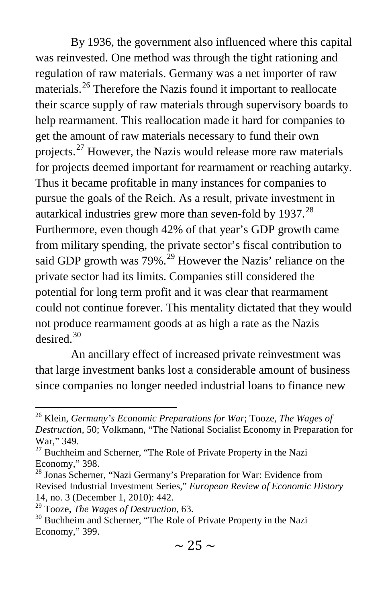By 1936, the government also influenced where this capital was reinvested. One method was through the tight rationing and regulation of raw materials. Germany was a net importer of raw materials.<sup>[26](#page-7-0)</sup> Therefore the Nazis found it important to reallocate their scarce supply of raw materials through supervisory boards to help rearmament. This reallocation made it hard for companies to get the amount of raw materials necessary to fund their own projects.<sup>[27](#page-7-1)</sup> However, the Nazis would release more raw materials for projects deemed important for rearmament or reaching autarky. Thus it became profitable in many instances for companies to pursue the goals of the Reich. As a result, private investment in autarkical industries grew more than seven-fold by  $1937$ .<sup>[28](#page-7-2)</sup> Furthermore, even though 42% of that year's GDP growth came from military spending, the private sector's fiscal contribution to said GDP growth was  $79\%$ .<sup>[29](#page-7-3)</sup> However the Nazis' reliance on the private sector had its limits. Companies still considered the potential for long term profit and it was clear that rearmament could not continue forever. This mentality dictated that they would not produce rearmament goods at as high a rate as the Nazis desired. $30$ 

An ancillary effect of increased private reinvestment was that large investment banks lost a considerable amount of business since companies no longer needed industrial loans to finance new

<span id="page-7-0"></span><sup>26</sup> Klein, *Germany's Economic Preparations for War*; Tooze, *The Wages of Destruction*, 50; Volkmann, "The National Socialist Economy in Preparation for War," 349.

<span id="page-7-1"></span> $27$  Buchheim and Scherner, "The Role of Private Property in the Nazi Economy," 398.

<span id="page-7-2"></span><sup>&</sup>lt;sup>28</sup> Jonas Scherner, "Nazi Germany's Preparation for War: Evidence from Revised Industrial Investment Series," *European Review of Economic History* 14, no. 3 (December 1, 2010): 442.<br><sup>29</sup> Tooze, *The Wages of Destruction*, 63.

<span id="page-7-3"></span>

<span id="page-7-4"></span><sup>&</sup>lt;sup>30</sup> Buchheim and Scherner, "The Role of Private Property in the Nazi Economy," 399.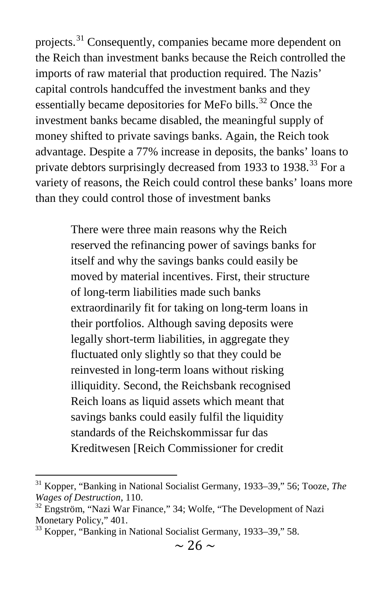projects.<sup>[31](#page-8-0)</sup> Consequently, companies became more dependent on the Reich than investment banks because the Reich controlled the imports of raw material that production required. The Nazis' capital controls handcuffed the investment banks and they essentially became depositories for MeFo bills.<sup>[32](#page-8-1)</sup> Once the investment banks became disabled, the meaningful supply of money shifted to private savings banks. Again, the Reich took advantage. Despite a 77% increase in deposits, the banks' loans to private debtors surprisingly decreased from 19[33](#page-8-2) to 1938.<sup>33</sup> For a variety of reasons, the Reich could control these banks' loans more than they could control those of investment banks

> There were three main reasons why the Reich reserved the refinancing power of savings banks for itself and why the savings banks could easily be moved by material incentives. First, their structure of long-term liabilities made such banks extraordinarily fit for taking on long-term loans in their portfolios. Although saving deposits were legally short-term liabilities, in aggregate they fluctuated only slightly so that they could be reinvested in long-term loans without risking illiquidity. Second, the Reichsbank recognised Reich loans as liquid assets which meant that savings banks could easily fulfil the liquidity standards of the Reichskommissar fur das Kreditwesen [Reich Commissioner for credit

<span id="page-8-0"></span><sup>&</sup>lt;sup>31</sup> Kopper, "Banking in National Socialist Germany, 1933–39," 56; Tooze, *The Wages of Destruction*, 110.

<span id="page-8-1"></span><sup>&</sup>lt;sup>32</sup> Engström, "Nazi War Finance," 34; Wolfe, "The Development of Nazi Monetary Policy," 401.

<span id="page-8-2"></span><sup>&</sup>lt;sup>33</sup> Kopper, "Banking in National Socialist Germany, 1933–39," 58.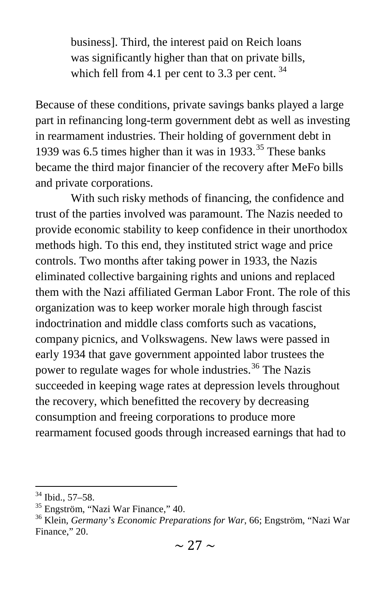business]. Third, the interest paid on Reich loans was significantly higher than that on private bills, which fell from 4.1 per cent to 3.3 per cent.  $34$ 

Because of these conditions, private savings banks played a large part in refinancing long-term government debt as well as investing in rearmament industries. Their holding of government debt in 1939 was 6.5 times higher than it was in  $1933$ .<sup>[35](#page-9-1)</sup> These banks became the third major financier of the recovery after MeFo bills and private corporations.

With such risky methods of financing, the confidence and trust of the parties involved was paramount. The Nazis needed to provide economic stability to keep confidence in their unorthodox methods high. To this end, they instituted strict wage and price controls. Two months after taking power in 1933, the Nazis eliminated collective bargaining rights and unions and replaced them with the Nazi affiliated German Labor Front. The role of this organization was to keep worker morale high through fascist indoctrination and middle class comforts such as vacations, company picnics, and Volkswagens. New laws were passed in early 1934 that gave government appointed labor trustees the power to regulate wages for whole industries.<sup>[36](#page-9-2)</sup> The Nazis succeeded in keeping wage rates at depression levels throughout the recovery, which benefitted the recovery by decreasing consumption and freeing corporations to produce more rearmament focused goods through increased earnings that had to

<span id="page-9-2"></span><span id="page-9-1"></span>

<span id="page-9-0"></span><sup>&</sup>lt;sup>34</sup> Ibid., 57–58.<br><sup>35</sup> Engström, "Nazi War Finance," 40.<br><sup>36</sup> Klein, *Germany's Economic Preparations for War*, 66; Engström, "Nazi War Finance," 20.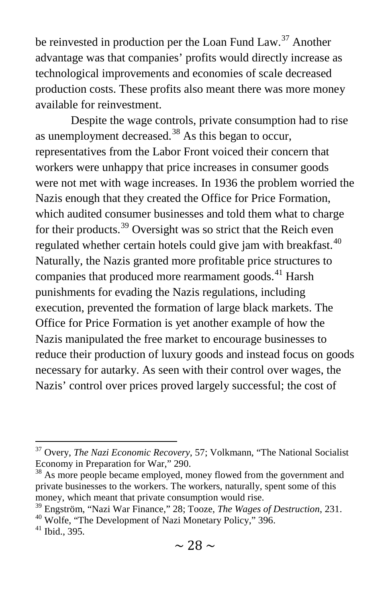be reinvested in production per the Loan Fund Law.<sup>[37](#page-10-0)</sup> Another advantage was that companies' profits would directly increase as technological improvements and economies of scale decreased production costs. These profits also meant there was more money available for reinvestment.

Despite the wage controls, private consumption had to rise as unemployment decreased.<sup>[38](#page-10-1)</sup> As this began to occur, representatives from the Labor Front voiced their concern that workers were unhappy that price increases in consumer goods were not met with wage increases. In 1936 the problem worried the Nazis enough that they created the Office for Price Formation, which audited consumer businesses and told them what to charge for their products.<sup>[39](#page-10-2)</sup> Oversight was so strict that the Reich even regulated whether certain hotels could give jam with breakfast.<sup>[40](#page-10-3)</sup> Naturally, the Nazis granted more profitable price structures to companies that produced more rearmament goods.<sup>[41](#page-10-4)</sup> Harsh punishments for evading the Nazis regulations, including execution, prevented the formation of large black markets. The Office for Price Formation is yet another example of how the Nazis manipulated the free market to encourage businesses to reduce their production of luxury goods and instead focus on goods necessary for autarky. As seen with their control over wages, the Nazis' control over prices proved largely successful; the cost of

<span id="page-10-0"></span><sup>37</sup> Overy, *The Nazi Economic Recovery*, 57; Volkmann, "The National Socialist Economy in Preparation for War," 290.<br><sup>38</sup> As more people became employed, money flowed from the government and

<span id="page-10-1"></span>private businesses to the workers. The workers, naturally, spent some of this money, which meant that private consumption would rise.

<span id="page-10-2"></span><sup>&</sup>lt;sup>39</sup> Engström, "Nazi War Finance," 28; Tooze, *The Wages of Destruction*, 231.<br><sup>40</sup> Wolfe, "The Development of Nazi Monetary Policy," 396.<br><sup>41</sup> Ibid., 395.

<span id="page-10-3"></span>

<span id="page-10-4"></span>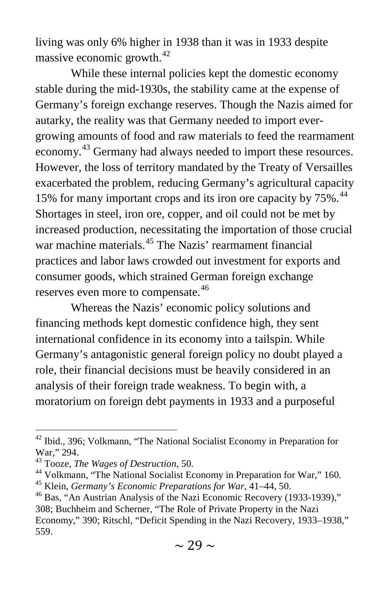living was only 6% higher in 1938 than it was in 1933 despite massive economic growth.<sup>[42](#page-11-0)</sup>

While these internal policies kept the domestic economy stable during the mid-1930s, the stability came at the expense of Germany's foreign exchange reserves. Though the Nazis aimed for autarky, the reality was that Germany needed to import evergrowing amounts of food and raw materials to feed the rearmament economy.<sup>[43](#page-11-1)</sup> Germany had always needed to import these resources. However, the loss of territory mandated by the Treaty of Versailles exacerbated the problem, reducing Germany's agricultural capacity 15% for many important crops and its iron ore capacity by  $75\%$ .<sup>[44](#page-11-2)</sup> Shortages in steel, iron ore, copper, and oil could not be met by increased production, necessitating the importation of those crucial war machine materials.<sup>[45](#page-11-3)</sup> The Nazis' rearmament financial practices and labor laws crowded out investment for exports and consumer goods, which strained German foreign exchange reserves even more to compensate.<sup>[46](#page-11-4)</sup>

Whereas the Nazis' economic policy solutions and financing methods kept domestic confidence high, they sent international confidence in its economy into a tailspin. While Germany's antagonistic general foreign policy no doubt played a role, their financial decisions must be heavily considered in an analysis of their foreign trade weakness. To begin with, a moratorium on foreign debt payments in 1933 and a purposeful

<span id="page-11-0"></span> $42$  Ibid., 396; Volkmann, "The National Socialist Economy in Preparation for War," 294.<br><sup>43</sup> Tooze, *The Wages of Destruction*, 50.

<span id="page-11-1"></span>

<span id="page-11-2"></span><sup>&</sup>lt;sup>44</sup> Volkmann, "The National Socialist Economy in Preparation for War," 160.<br><sup>45</sup> Klein, *Germany's Economic Preparations for War*,  $41-44$ , 50.<br><sup>46</sup> Bas, "An Austrian Analysis of the Nazi Economic Recovery (1933-1939),"

<span id="page-11-4"></span><span id="page-11-3"></span><sup>308;</sup> Buchheim and Scherner, "The Role of Private Property in the Nazi

Economy," 390; Ritschl, "Deficit Spending in the Nazi Recovery, 1933–1938," 559.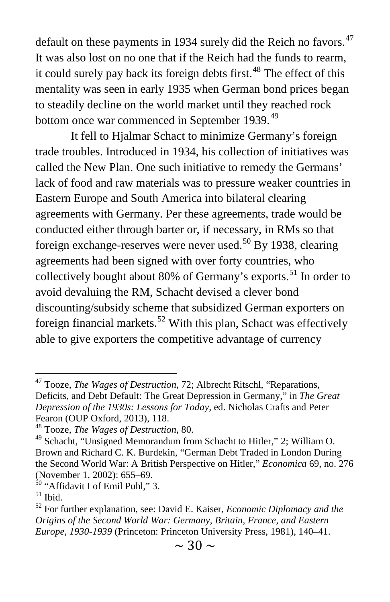default on these payments in 1934 surely did the Reich no favors.<sup>[47](#page-12-0)</sup> It was also lost on no one that if the Reich had the funds to rearm, it could surely pay back its foreign debts first.<sup>[48](#page-12-1)</sup> The effect of this mentality was seen in early 1935 when German bond prices began to steadily decline on the world market until they reached rock bottom once war commenced in September 1939.<sup>[49](#page-12-2)</sup>

It fell to Hjalmar Schact to minimize Germany's foreign trade troubles. Introduced in 1934, his collection of initiatives was called the New Plan. One such initiative to remedy the Germans' lack of food and raw materials was to pressure weaker countries in Eastern Europe and South America into bilateral clearing agreements with Germany. Per these agreements, trade would be conducted either through barter or, if necessary, in RMs so that foreign exchange-reserves were never used.<sup>[50](#page-12-3)</sup> By 1938, clearing agreements had been signed with over forty countries, who collectively bought about 80% of Germany's exports.<sup>[51](#page-12-4)</sup> In order to avoid devaluing the RM, Schacht devised a clever bond discounting/subsidy scheme that subsidized German exporters on foreign financial markets.<sup>[52](#page-12-5)</sup> With this plan, Schact was effectively able to give exporters the competitive advantage of currency

<span id="page-12-0"></span><sup>47</sup> Tooze, *The Wages of Destruction*, 72; Albrecht Ritschl, "Reparations, Deficits, and Debt Default: The Great Depression in Germany," in *The Great Depression of the 1930s: Lessons for Today*, ed. Nicholas Crafts and Peter Fearon (OUP Oxford, 2013), 118.

<span id="page-12-1"></span><sup>48</sup> Tooze, *The Wages of Destruction*, 80.

<span id="page-12-2"></span><sup>49</sup> Schacht, "Unsigned Memorandum from Schacht to Hitler," 2; William O. Brown and Richard C. K. Burdekin, "German Debt Traded in London During the Second World War: A British Perspective on Hitler," *Economica* 69, no. 276 (November 1, 2002): 655–69.

<span id="page-12-5"></span><span id="page-12-4"></span>

<span id="page-12-3"></span><sup>&</sup>lt;sup>50</sup> "Affidavit I of Emil Puhl," 3.<br><sup>51</sup> Ibid. <sup>52</sup> For further explanation, see: David E. Kaiser, *Economic Diplomacy and the Origins of the Second World War: Germany, Britain, France, and Eastern Europe, 1930-1939* (Princeton: Princeton University Press, 1981), 140–41.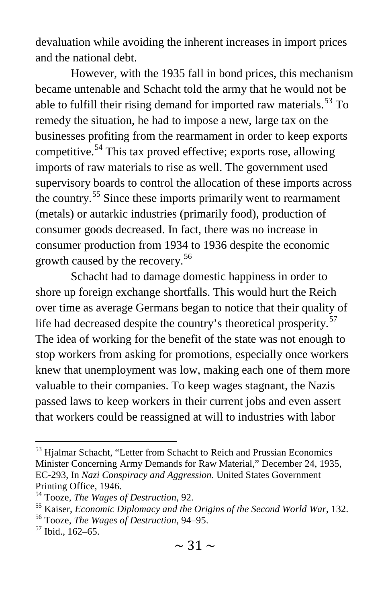devaluation while avoiding the inherent increases in import prices and the national debt.

However, with the 1935 fall in bond prices, this mechanism became untenable and Schacht told the army that he would not be able to fulfill their rising demand for imported raw materials.<sup>[53](#page-13-0)</sup> To remedy the situation, he had to impose a new, large tax on the businesses profiting from the rearmament in order to keep exports competitive.[54](#page-13-1) This tax proved effective; exports rose, allowing imports of raw materials to rise as well. The government used supervisory boards to control the allocation of these imports across the country.<sup>[55](#page-13-2)</sup> Since these imports primarily went to rearmament (metals) or autarkic industries (primarily food), production of consumer goods decreased. In fact, there was no increase in consumer production from 1934 to 1936 despite the economic growth caused by the recovery.<sup>[56](#page-13-3)</sup>

Schacht had to damage domestic happiness in order to shore up foreign exchange shortfalls. This would hurt the Reich over time as average Germans began to notice that their quality of life had decreased despite the country's theoretical prosperity.<sup>[57](#page-13-4)</sup> The idea of working for the benefit of the state was not enough to stop workers from asking for promotions, especially once workers knew that unemployment was low, making each one of them more valuable to their companies. To keep wages stagnant, the Nazis passed laws to keep workers in their current jobs and even assert that workers could be reassigned at will to industries with labor

<span id="page-13-0"></span><sup>&</sup>lt;sup>53</sup> Hjalmar Schacht, "Letter from Schacht to Reich and Prussian Economics Minister Concerning Army Demands for Raw Material," December 24, 1935, EC-293, In *Nazi Conspiracy and Aggression*. United States Government Printing Office, 1946.<br><sup>54</sup> Tooze, *The Wages of Destruction*, 92.

<span id="page-13-1"></span>

<span id="page-13-2"></span><sup>&</sup>lt;sup>55</sup> Kaiser, *Economic Diplomacy and the Origins of the Second World War*, 132.<br><sup>56</sup> Tooze, *The Wages of Destruction*, 94–95.<br><sup>57</sup> Ibid., 162–65.

<span id="page-13-3"></span>

<span id="page-13-4"></span>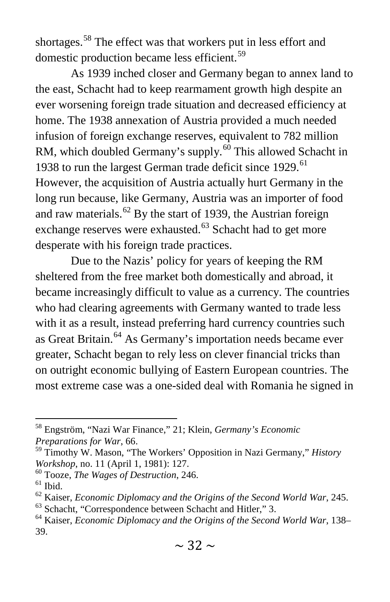shortages.<sup>[58](#page-14-0)</sup> The effect was that workers put in less effort and domestic production became less efficient.<sup>[59](#page-14-1)</sup>

As 1939 inched closer and Germany began to annex land to the east, Schacht had to keep rearmament growth high despite an ever worsening foreign trade situation and decreased efficiency at home. The 1938 annexation of Austria provided a much needed infusion of foreign exchange reserves, equivalent to 782 million RM, which doubled Germany's supply.<sup>[60](#page-14-2)</sup> This allowed Schacht in 1938 to run the largest German trade deficit since 1929.<sup>[61](#page-14-3)</sup> However, the acquisition of Austria actually hurt Germany in the long run because, like Germany, Austria was an importer of food and raw materials.<sup>[62](#page-14-4)</sup> By the start of 1939, the Austrian foreign exchange reserves were exhausted.<sup>[63](#page-14-5)</sup> Schacht had to get more desperate with his foreign trade practices.

Due to the Nazis' policy for years of keeping the RM sheltered from the free market both domestically and abroad, it became increasingly difficult to value as a currency. The countries who had clearing agreements with Germany wanted to trade less with it as a result, instead preferring hard currency countries such as Great Britain.[64](#page-14-6) As Germany's importation needs became ever greater, Schacht began to rely less on clever financial tricks than on outright economic bullying of Eastern European countries. The most extreme case was a one-sided deal with Romania he signed in

<span id="page-14-0"></span><sup>58</sup> Engström, "Nazi War Finance," 21; Klein, *Germany's Economic Preparations for War*, 66.

<span id="page-14-1"></span><sup>59</sup> Timothy W. Mason, "The Workers' Opposition in Nazi Germany," *History* 

<span id="page-14-2"></span>

<span id="page-14-4"></span><span id="page-14-3"></span>

*Workshop*, no. 11 (April 1, 1981): 127.<br><sup>60</sup> Tooze, *The Wages of Destruction*, 246.<br><sup>61</sup> Ibid.<br><sup>62</sup> Kaiser, *Economic Diplomacy and the Origins of the Second World War*, 245.<br><sup>63</sup> Schacht, "Correspondence between Schacht

<span id="page-14-5"></span>

<span id="page-14-6"></span><sup>39.</sup>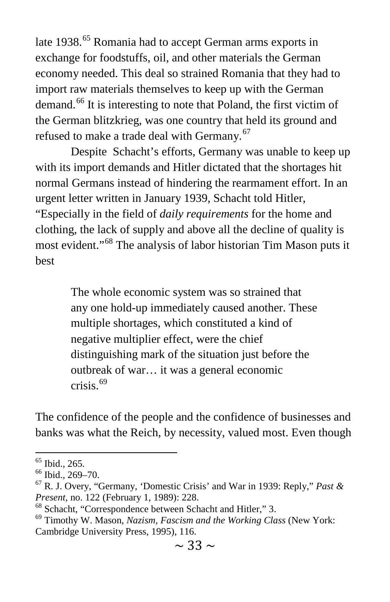late 1938.<sup>[65](#page-15-0)</sup> Romania had to accept German arms exports in exchange for foodstuffs, oil, and other materials the German economy needed. This deal so strained Romania that they had to import raw materials themselves to keep up with the German demand.<sup>[66](#page-15-1)</sup> It is interesting to note that Poland, the first victim of the German blitzkrieg, was one country that held its ground and refused to make a trade deal with Germany.<sup>[67](#page-15-2)</sup>

Despite Schacht's efforts, Germany was unable to keep up with its import demands and Hitler dictated that the shortages hit normal Germans instead of hindering the rearmament effort. In an urgent letter written in January 1939, Schacht told Hitler, "Especially in the field of *daily requirements* for the home and clothing, the lack of supply and above all the decline of quality is most evident."[68](#page-15-3) The analysis of labor historian Tim Mason puts it best

> The whole economic system was so strained that any one hold-up immediately caused another. These multiple shortages, which constituted a kind of negative multiplier effect, were the chief distinguishing mark of the situation just before the outbreak of war… it was a general economic crisis. $69$

The confidence of the people and the confidence of businesses and banks was what the Reich, by necessity, valued most. Even though

<span id="page-15-2"></span><span id="page-15-1"></span>

<span id="page-15-0"></span><sup>&</sup>lt;sup>65</sup> Ibid., 265.<br><sup>66</sup> Ibid., 269–70.<br><sup>67</sup> R. J. Overy, "Germany, 'Domestic Crisis' and War in 1939: Reply," *Past & Present*, no. 122 (February 1, 1989): 228.

<span id="page-15-4"></span><span id="page-15-3"></span><sup>&</sup>lt;sup>68</sup> Schacht, "Correspondence between Schacht and Hitler," 3.<br><sup>69</sup> Timothy W. Mason, *Nazism, Fascism and the Working Class* (New York: Cambridge University Press, 1995), 116.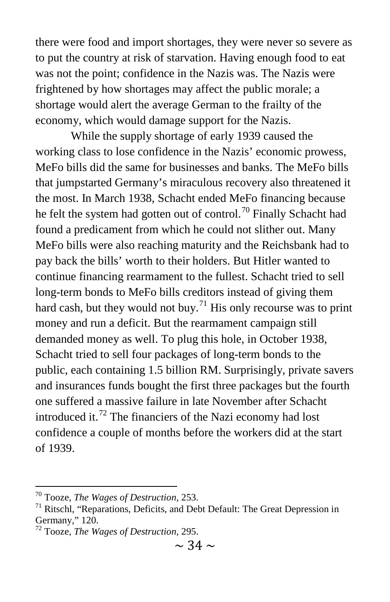there were food and import shortages, they were never so severe as to put the country at risk of starvation. Having enough food to eat was not the point; confidence in the Nazis was. The Nazis were frightened by how shortages may affect the public morale; a shortage would alert the average German to the frailty of the economy, which would damage support for the Nazis.

While the supply shortage of early 1939 caused the working class to lose confidence in the Nazis' economic prowess, MeFo bills did the same for businesses and banks. The MeFo bills that jumpstarted Germany's miraculous recovery also threatened it the most. In March 1938, Schacht ended MeFo financing because he felt the system had gotten out of control.<sup>[70](#page-16-0)</sup> Finally Schacht had found a predicament from which he could not slither out. Many MeFo bills were also reaching maturity and the Reichsbank had to pay back the bills' worth to their holders. But Hitler wanted to continue financing rearmament to the fullest. Schacht tried to sell long-term bonds to MeFo bills creditors instead of giving them hard cash, but they would not buy.<sup>[71](#page-16-1)</sup> His only recourse was to print money and run a deficit. But the rearmament campaign still demanded money as well. To plug this hole, in October 1938, Schacht tried to sell four packages of long-term bonds to the public, each containing 1.5 billion RM. Surprisingly, private savers and insurances funds bought the first three packages but the fourth one suffered a massive failure in late November after Schacht introduced it.[72](#page-16-2) The financiers of the Nazi economy had lost confidence a couple of months before the workers did at the start of 1939.

<span id="page-16-1"></span>

<span id="page-16-0"></span><sup>&</sup>lt;sup>70</sup> Tooze, *The Wages of Destruction*, 253.<br><sup>71</sup> Ritschl, "Reparations, Deficits, and Debt Default: The Great Depression in Germany," 120.

<span id="page-16-2"></span><sup>72</sup> Tooze, *The Wages of Destruction*, 295.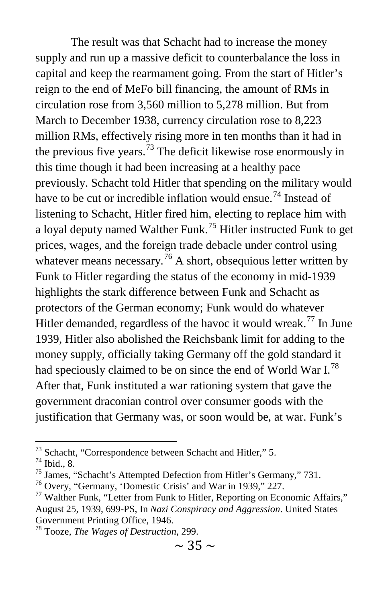The result was that Schacht had to increase the money supply and run up a massive deficit to counterbalance the loss in capital and keep the rearmament going. From the start of Hitler's reign to the end of MeFo bill financing, the amount of RMs in circulation rose from 3,560 million to 5,278 million. But from March to December 1938, currency circulation rose to 8,223 million RMs, effectively rising more in ten months than it had in the previous five years.<sup>[73](#page-17-0)</sup> The deficit likewise rose enormously in this time though it had been increasing at a healthy pace previously. Schacht told Hitler that spending on the military would have to be cut or incredible inflation would ensue.<sup>[74](#page-17-1)</sup> Instead of listening to Schacht, Hitler fired him, electing to replace him with a loyal deputy named Walther Funk.<sup>[75](#page-17-2)</sup> Hitler instructed Funk to get prices, wages, and the foreign trade debacle under control using whatever means necessary.<sup>[76](#page-17-3)</sup> A short, obsequious letter written by Funk to Hitler regarding the status of the economy in mid-1939 highlights the stark difference between Funk and Schacht as protectors of the German economy; Funk would do whatever Hitler demanded, regardless of the havoc it would wreak.<sup>[77](#page-17-4)</sup> In June 1939, Hitler also abolished the Reichsbank limit for adding to the money supply, officially taking Germany off the gold standard it had speciously claimed to be on since the end of World War I.<sup>[78](#page-17-5)</sup> After that, Funk instituted a war rationing system that gave the government draconian control over consumer goods with the justification that Germany was, or soon would be, at war. Funk's

<span id="page-17-0"></span><sup>&</sup>lt;sup>73</sup> Schacht, "Correspondence between Schacht and Hitler," 5.<br><sup>74</sup> Ibid., 8.<br><sup>75</sup> James, "Schacht's Attempted Defection from Hitler's Germany," 731.<br><sup>75</sup> Overy, "Germany, 'Domestic Crisis' and War in 1939," 227.<br><sup>77</sup> Walt

<span id="page-17-1"></span>

<span id="page-17-2"></span>

<span id="page-17-3"></span>

<span id="page-17-4"></span>August 25, 1939, 699-PS, In *Nazi Conspiracy and Aggression*. United States Government Printing Office, 1946. <sup>78</sup> Tooze, *The Wages of Destruction*, 299.

<span id="page-17-5"></span>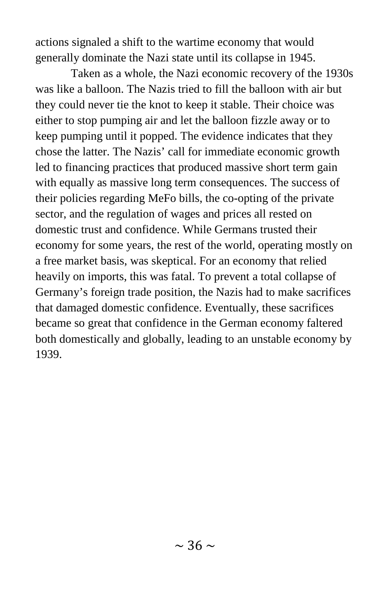actions signaled a shift to the wartime economy that would generally dominate the Nazi state until its collapse in 1945.

Taken as a whole, the Nazi economic recovery of the 1930s was like a balloon. The Nazis tried to fill the balloon with air but they could never tie the knot to keep it stable. Their choice was either to stop pumping air and let the balloon fizzle away or to keep pumping until it popped. The evidence indicates that they chose the latter. The Nazis' call for immediate economic growth led to financing practices that produced massive short term gain with equally as massive long term consequences. The success of their policies regarding MeFo bills, the co-opting of the private sector, and the regulation of wages and prices all rested on domestic trust and confidence. While Germans trusted their economy for some years, the rest of the world, operating mostly on a free market basis, was skeptical. For an economy that relied heavily on imports, this was fatal. To prevent a total collapse of Germany's foreign trade position, the Nazis had to make sacrifices that damaged domestic confidence. Eventually, these sacrifices became so great that confidence in the German economy faltered both domestically and globally, leading to an unstable economy by 1939.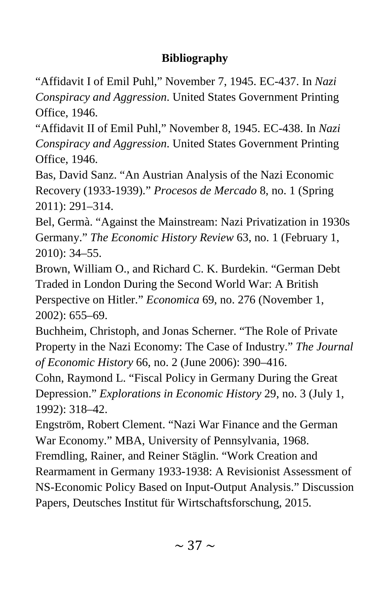### **Bibliography**

"Affidavit I of Emil Puhl," November 7, 1945. EC-437. In *Nazi Conspiracy and Aggression*. United States Government Printing Office, 1946.

"Affidavit II of Emil Puhl," November 8, 1945. EC-438. In *Nazi Conspiracy and Aggression*. United States Government Printing Office, 1946.

Bas, David Sanz. "An Austrian Analysis of the Nazi Economic Recovery (1933-1939)." *Procesos de Mercado* 8, no. 1 (Spring 2011): 291–314.

Bel, Germà. "Against the Mainstream: Nazi Privatization in 1930s Germany." *The Economic History Review* 63, no. 1 (February 1, 2010): 34–55.

Brown, William O., and Richard C. K. Burdekin. "German Debt Traded in London During the Second World War: A British Perspective on Hitler." *Economica* 69, no. 276 (November 1, 2002): 655–69.

Buchheim, Christoph, and Jonas Scherner. "The Role of Private Property in the Nazi Economy: The Case of Industry." *The Journal of Economic History* 66, no. 2 (June 2006): 390–416.

Cohn, Raymond L. "Fiscal Policy in Germany During the Great Depression." *Explorations in Economic History* 29, no. 3 (July 1, 1992): 318–42.

Engström, Robert Clement. "Nazi War Finance and the German War Economy." MBA, University of Pennsylvania, 1968. Fremdling, Rainer, and Reiner Stäglin. "Work Creation and Rearmament in Germany 1933-1938: A Revisionist Assessment of NS-Economic Policy Based on Input-Output Analysis." Discussion Papers, Deutsches Institut für Wirtschaftsforschung, 2015.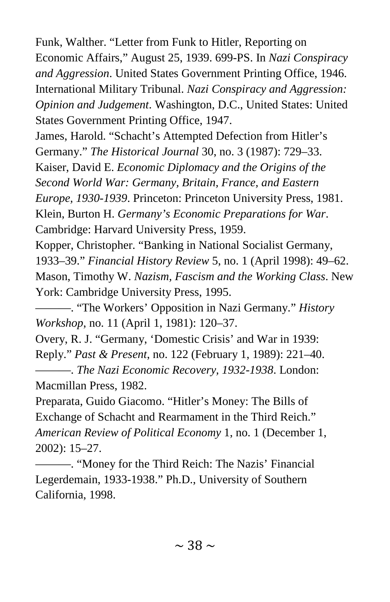Funk, Walther. "Letter from Funk to Hitler, Reporting on Economic Affairs," August 25, 1939. 699-PS. In *Nazi Conspiracy and Aggression*. United States Government Printing Office, 1946. International Military Tribunal. *Nazi Conspiracy and Aggression: Opinion and Judgement*. Washington, D.C., United States: United States Government Printing Office, 1947.

James, Harold. "Schacht's Attempted Defection from Hitler's Germany." *The Historical Journal* 30, no. 3 (1987): 729–33. Kaiser, David E. *Economic Diplomacy and the Origins of the* 

*Second World War: Germany, Britain, France, and Eastern* 

*Europe, 1930-1939*. Princeton: Princeton University Press, 1981. Klein, Burton H. *Germany's Economic Preparations for War*.

Cambridge: Harvard University Press, 1959.

Kopper, Christopher. "Banking in National Socialist Germany, 1933–39." *Financial History Review* 5, no. 1 (April 1998): 49–62. Mason, Timothy W. *Nazism, Fascism and the Working Class*. New York: Cambridge University Press, 1995.

———. "The Workers' Opposition in Nazi Germany." *History Workshop*, no. 11 (April 1, 1981): 120–37.

Overy, R. J. "Germany, 'Domestic Crisis' and War in 1939: Reply." *Past & Present*, no. 122 (February 1, 1989): 221–40. ———. *The Nazi Economic Recovery, 1932-1938*. London:

Macmillan Press, 1982.

Preparata, Guido Giacomo. "Hitler's Money: The Bills of Exchange of Schacht and Rearmament in the Third Reich." *American Review of Political Economy* 1, no. 1 (December 1, 2002): 15–27.

———. "Money for the Third Reich: The Nazis' Financial Legerdemain, 1933-1938." Ph.D., University of Southern California, 1998.